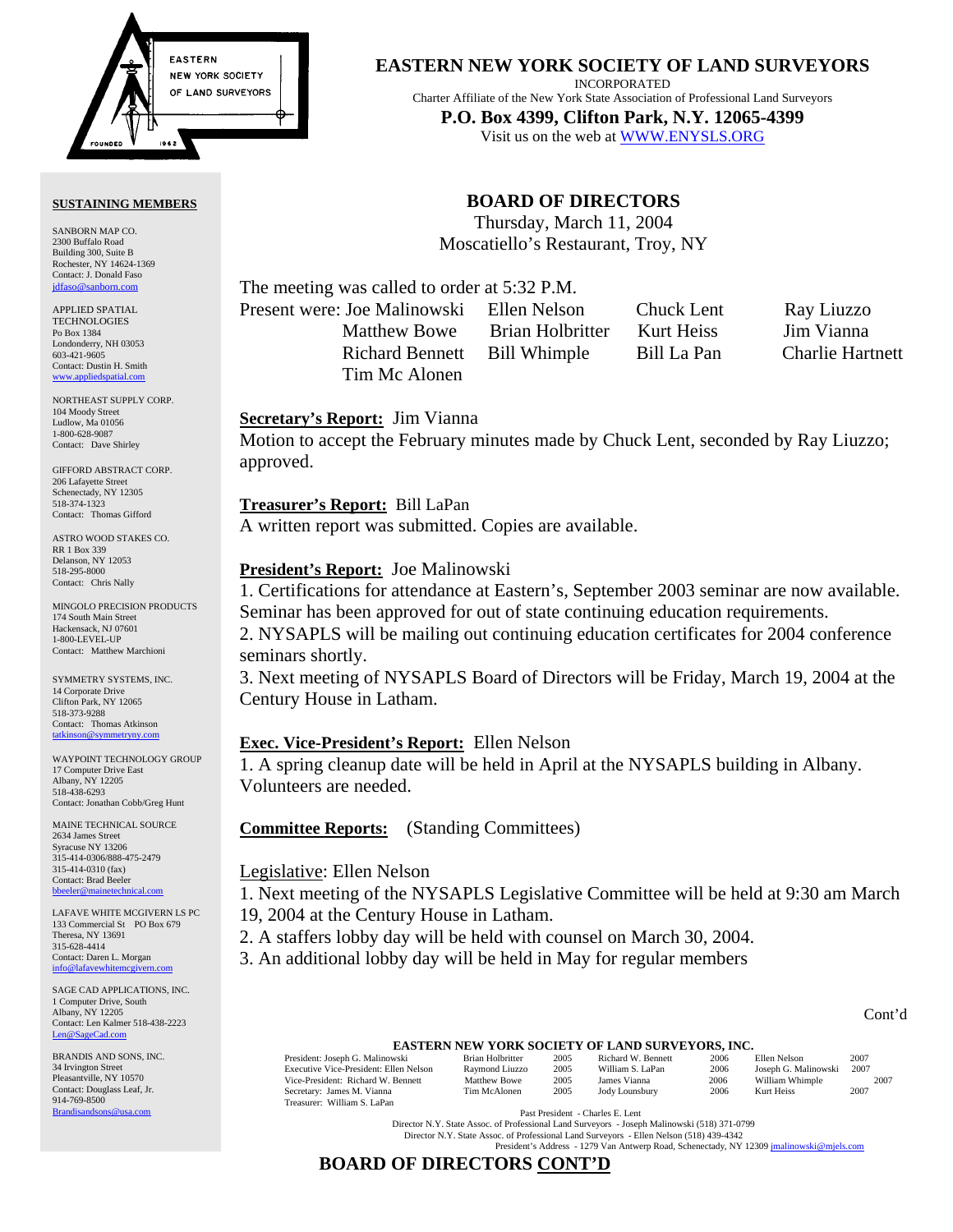

#### **SUSTAINING MEMBERS**

SANBORN MAP CO. 2300 Buffalo Road Building 300, Suite B Rochester, NY 14624-1369 Contact: J. Donald Faso jdfaso@sanborn

APPLIED SPATIAL **TECHNOLOGIES** Po Box 1384 Londonderry, NH 03053 603-421-9605 Contact: Dustin H. Smith <www.appliedspatial.com>

NORTHEAST SUPPLY CORP. 104 Moody Street Ludlow, Ma 01056 1-800-628-9087 Contact: Dave Shirley

GIFFORD ABSTRACT CORP. 206 Lafayette Street Schenectady, NY 12305 518-374-1323 Contact: Thomas Gifford

ASTRO WOOD STAKES CO. RR 1 Box 339 Delanson, NY 12053 518-295-8000 Contact: Chris Nally

MINGOLO PRECISION PRODUCTS 174 South Main Street Hackensack, NJ 07601 1-800-LEVEL-UP Contact: Matthew Marchioni

SYMMETRY SYSTEMS, INC. 14 Corporate Drive Clifton Park, NY 12065 518-373-9288 Contact: Thomas Atkinson tatkinson

WAYPOINT TECHNOLOGY GROUP 17 Computer Drive East Albany, NY 12205 518-438-6293 Contact: Jonathan Cobb/Greg Hunt

MAINE TECHNICAL SOURCE 2634 James Street Syracuse NY 13206 315-414-0306/888-475-2479 315-414-0310 (fax) Contact: Brad Beeler  $\frac{1}{2}$ beeler@n

LAFAVE WHITE MCGIVERN LS PC 133 Commercial St PO Box 679 Theresa, NY 13691 315-628-4414 Contact: Daren L. Morgan info@lafavewhitem

SAGE CAD APPLICATIONS, INC. 1 Computer Drive, South Albany, NY 12205 Contact: Len Kalmer 518-438-2223 [Len@SageCad.com](MAILTO:Len@SageCad.com)

BRANDIS AND SONS, INC. 34 Irvington Street Pleasantville, NY 10570 Contact: Douglass Leaf, Jr. 914-769-8500 [Brandisandsons@usa.com](MAILTO:brandisandsons@usa.com)

#### **EASTERN NEW YORK SOCIETY OF LAND SURVEYORS**

INCORPORATED

Charter Affiliate of the New York State Association of Professional Land Surveyors **P.O. Box 4399, Clifton Park, N.Y. 12065-4399** 

Visit us on the web at [WWW.ENYSLS.ORG](www.enysls.org)

## **BOARD OF DIRECTORS**

Thursday, March 11, 2004 Moscatiello's Restaurant, Troy, NY

The meeting was called to order at 5:32 P.M.

Present were: Joe Malinowski Ellen Nelson Chuck Lent Ray Liuzzo Matthew Bowe Brian Holbritter Kurt Heiss Jim Vianna Richard Bennett Bill Whimple Bill La Pan Charlie Hartnett Tim Mc Alonen

### **Secretary's Report:** Jim Vianna

Motion to accept the February minutes made by Chuck Lent, seconded by Ray Liuzzo; approved.

**Treasurer's Report:** Bill LaPan A written report was submitted. Copies are available.

#### **President's Report:** Joe Malinowski

1. Certifications for attendance at Eastern's, September 2003 seminar are now available. Seminar has been approved for out of state continuing education requirements.

2. NYSAPLS will be mailing out continuing education certificates for 2004 conference seminars shortly.

3. Next meeting of NYSAPLS Board of Directors will be Friday, March 19, 2004 at the Century House in Latham.

#### **Exec. Vice-President's Report:** Ellen Nelson

1. A spring cleanup date will be held in April at the NYSAPLS building in Albany. Volunteers are needed.

**Committee Reports:** (Standing Committees)

#### Legislative: Ellen Nelson

1. Next meeting of the NYSAPLS Legislative Committee will be held at 9:30 am March 19, 2004 at the Century House in Latham.

2. A staffers lobby day will be held with counsel on March 30, 2004.

3. An additional lobby day will be held in May for regular members

Cont'd

# **EASTERN NEW YORK SOCIETY OF LAND SURVEYORS, INC.**<br>wski Brian Holbritter 2005 Richard W. Bennett 2006 Ellen Nelson

President: Joseph G. Malinowski Brian Holbritter 2005 Richard W. Bennett 2006 Ellen Nelson 2007<br>Executive Vice-President: Ellen Nelson Raymond Liuzzo 2005 William S. La Pan 2006 Joseph G. Malinowski 2007 Executive Vice-President: Ellen Nelson Raymond Liuzzo 2005 William S. LaPan 2006 Joseph G. Malinowski 2007<br>1907 Vice-President: Richard W. Bennett Matthew Bowe 2005 James Vianna 2006 William Whimple Vice-President: Richard W. Bennett Matthew Bowe 2005 James Vianna 2006 William Whimple Secretary: James M. Vianna 19007 Tim McAlonen 2005 Jody Lounsbury 2006 Kurt Heiss 2007 Secretary: James M. Vianna Treasurer: William S. LaPan

Past President - Charles E. Lent

Director N.Y. State Assoc. of Professional Land Surveyors - Joseph Malinowski (518) 371-0799

Director N.Y. State Assoc. of Professional Land Surveyors - Ellen Nelson (518) 439-4342<br>President's Address - 1279 Van Antwerp Road, Schenectady, NY 12309 [jmalinowski@mjels.com](MAILTO:jmalinowski@mjels.com)

#### **BOARD OF DIRECTORS CONT'D**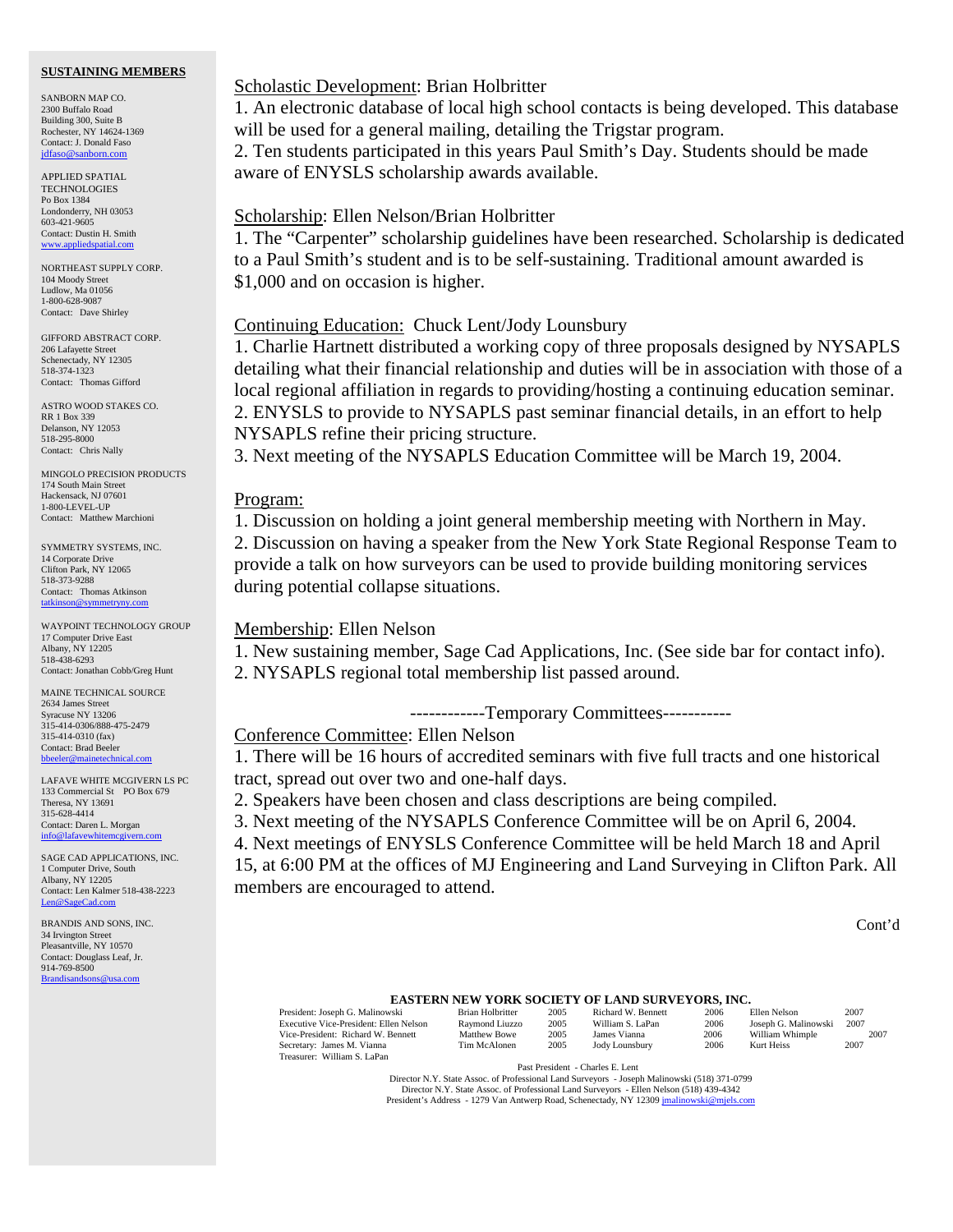#### **SUSTAINING MEMBERS**

SANBORN MAP CO. 2300 Buffalo Road Building 300, Suite B Rochester, NY 14624-1369 Contact: J. Donald Faso [jdfaso@sanborn.com](mailto:jdfaso@sanborn.com)

APPLIED SPATIAL **TECHNOLOGIES** Po Box 1384 Londonderry, NH 03053 603-421-9605 Contact: Dustin H. Smith <www.appliedspatial.com>

NORTHEAST SUPPLY CORP. 104 Moody Street Ludlow, Ma 01056 1-800-628-9087 Contact: Dave Shirley

GIFFORD ABSTRACT CORP. 206 Lafayette Street Schenectady, NY 12305 518-374-1323 Contact: Thomas Gifford

ASTRO WOOD STAKES CO. RR 1 Box 339 Delanson, NY 12053 518-295-8000 Contact: Chris Nally

MINGOLO PRECISION PRODUCTS 174 South Main Street Hackensack, NJ 07601 1-800-LEVEL-UP Contact: Matthew Marchioni

SYMMETRY SYSTEMS, INC. 14 Corporate Drive Clifton Park, NY 12065 518-373-9288 Contact: Thomas Atkinson [tatkinson@symmetryny.com](mailto:tatkinson@symmetryny.com)

WAYPOINT TECHNOLOGY GROUP 17 Computer Drive East Albany, NY 12205 518-438-6293 Contact: Jonathan Cobb/Greg Hunt

MAINE TECHNICAL SOURCE 2634 James Street Syracuse NY 13206 315-414-0306/888-475-2479 315-414-0310 (fax) Contact: Brad Beeler [bbeeler@mainetechnical.com](MAILTO:bbeeler@mainetechnical.com)

LAFAVE WHITE MCGIVERN LS PC 133 Commercial St PO Box 679 Theresa, NY 13691 315-628-4414 Contact: Daren L. Morgan [info@lafavewhitemcgivern.com](MAILTO:info@lafavewhitemcgivern.com)

SAGE CAD APPLICATIONS, INC. 1 Computer Drive, South Albany, NY 12205 Contact: Len Kalmer 518-438-2223 [Len@SageCad.com](MAILTO:Len@SageCad.com)

BRANDIS AND SONS, INC. 34 Irvington Street Pleasantville, NY 10570 Contact: Douglass Leaf, Jr. 914-769-8500 [Brandisandsons@usa.com](MAILTO:brandisandsons@usa.com)

#### Scholastic Development: Brian Holbritter

1. An electronic database of local high school contacts is being developed. This database will be used for a general mailing, detailing the Trigstar program.

2. Ten students participated in this years Paul Smith's Day. Students should be made aware of ENYSLS scholarship awards available.

#### Scholarship: Ellen Nelson/Brian Holbritter

1. The "Carpenter" scholarship guidelines have been researched. Scholarship is dedicated to a Paul Smith's student and is to be self-sustaining. Traditional amount awarded is \$1,000 and on occasion is higher.

### Continuing Education: Chuck Lent/Jody Lounsbury

1. Charlie Hartnett distributed a working copy of three proposals designed by NYSAPLS detailing what their financial relationship and duties will be in association with those of a local regional affiliation in regards to providing/hosting a continuing education seminar. 2. ENYSLS to provide to NYSAPLS past seminar financial details, in an effort to help NYSAPLS refine their pricing structure.

3. Next meeting of the NYSAPLS Education Committee will be March 19, 2004.

#### Program:

1. Discussion on holding a joint general membership meeting with Northern in May. 2. Discussion on having a speaker from the New York State Regional Response Team to provide a talk on how surveyors can be used to provide building monitoring services during potential collapse situations.

## Membership: Ellen Nelson

1. New sustaining member, Sage Cad Applications, Inc. (See side bar for contact info). 2. NYSAPLS regional total membership list passed around.

------------Temporary Committees-----------

Conference Committee: Ellen Nelson

1. There will be 16 hours of accredited seminars with five full tracts and one historical tract, spread out over two and one-half days.

2. Speakers have been chosen and class descriptions are being compiled.

3. Next meeting of the NYSAPLS Conference Committee will be on April 6, 2004.

4. Next meetings of ENYSLS Conference Committee will be held March 18 and April 15, at 6:00 PM at the offices of MJ Engineering and Land Surveying in Clifton Park. All members are encouraged to attend.

Cont'd

#### **EASTERN NEW YORK SOCIETY OF LAND SURVEYORS, INC.**

| President: Joseph G. Malinowski        | Brian Holbritter | 2005 | Richard W. Bennett | 2006 | Ellen Nelson         | 2007 |
|----------------------------------------|------------------|------|--------------------|------|----------------------|------|
| Executive Vice-President: Ellen Nelson | Raymond Liuzzo   | 2005 | William S. LaPan   | 2006 | Joseph G. Malinowski | 2007 |
| Vice-President: Richard W. Bennett     | Matthew Bowe     | 2005 | James Vianna       | 2006 | William Whimple      | 2007 |
| Secretary: James M. Vianna             | Tim McAlonen     | 2005 | Jody Lounsbury     | 2006 | Kurt Heiss           | 2007 |
| Treasurer: William S. LaPan            |                  |      |                    |      |                      |      |

Past President - Charles E. Lent

Director N.Y. State Assoc. of Professional Land Surveyors - Joseph Malinowski (518) 371-0799 Director N.Y. State Assoc. of Professional Land Surveyors - Ellen Nelson (518) 439-4342 President's Address - 1279 Van Antwerp Road, Schenectady, NY 12309 jmalinowski@mjels.